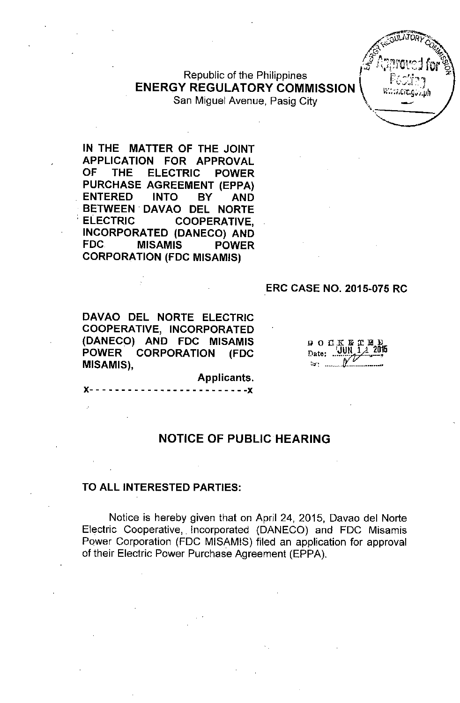#### Republic of the Philippines ENERGY REGULATORY COMMISSION San Miguel Avenue, Pasig City

 $\widehat{\mathscr{E}}_n$ **JULATORY CO**  $\mathscr{F}$   $\mathbb{C}$  ,  $\mathbb{C}$  ,  $\mathbb{C}$  ,  $\mathbb{C}$  ,  $\mathbb{C}$  ,  $\mathbb{C}$  ,  $\mathbb{C}$  ,  $\mathbb{C}$  ,  $\mathbb{C}$  ,  $\mathbb{C}$  ,  $\mathbb{C}$  ,  $\mathbb{C}$  ,  $\mathbb{C}$  ,  $\mathbb{C}$  ,  $\mathbb{C}$  ,  $\mathbb{C}$  ,  $\mathbb{C}$  ,  $\mathbb{C}$  ,  $\mathbb{C}$  ,  $\math$ " ,

IN THE MATTER OF THE JOINT APPLICATION FOR APPROVAL OF THE ELECTRIC POWER PURCHASE AGREEMENT (EPPA) . ENTERED INTO BY AND BETWEEN'DAVAO DEL NORTE . ELECTRIC COOPERATIVE, INCORPORATED (DANECO) AND FDC MISAMIS POWER CORPORATION (FDC MISAMIS)

#### ERC CASE NO. 2015-075 RC

DAVAO DEL NORTE ELECTRIC COOPERATIVE, INCORPORATED (DANECO) AND FDC MISAMIS POWER CORPORATION (FDC MISAMIS),

 $\begin{array}{cccc}\n\mathbf{D} & \mathbf{O} & \mathbf{C} & \mathbf{K} & \mathbf{E} & \mathbf{T} & \mathbf{H} & \mathbf{D} \\
\mathbf{O} & \mathbf{C} & \mathbf{K} & \mathbf{H} & \mathbf{T} & \mathbf{H} & \mathbf{D} \\
\mathbf{D}_{\text{data}} & \mathbf{U}\mathbf{U}\mathbf{N} & \mathbf{1}\mathbf{A} & \mathbf{2015}\n\end{array}$ Date: ..

NOTICE OF PUBLIC HEARING

 $- - - -$ 

Applicants.

#### TO ALL INTERESTED PARTIES:

Notice is hereby given that on April 24, 2015, Oavao del Norte Electric Cooperative, Incorporated (OANECO) and FOC Misamis Power Corporation (FOC MISAMIS) filed an application for approval of their Electric Power Purchase Agreement (EPPA),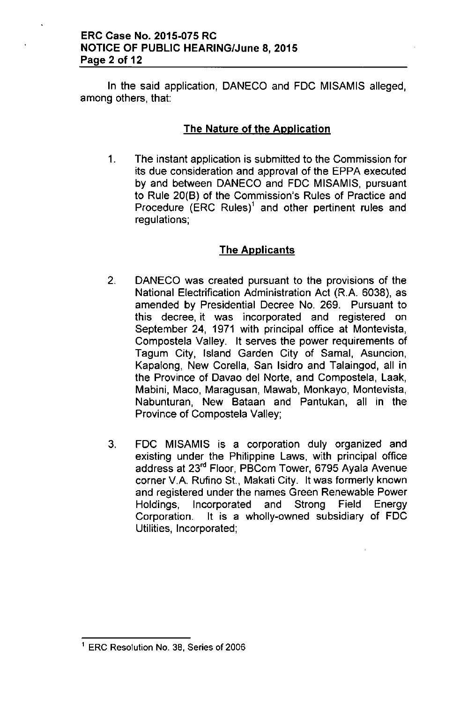In the said application, DANECO and FDC MISAMIS alleged, among others, that:

## The Nature of the Application

1. The instant application is submitted to the Commission for its due consideration and approval of the EPPA executed by and between DANECO and FDC MISAMIS, pursuant to Rule 20(B) of the Commission's Rules of Practice and Procedure (ERC Rules)' and other pertinent rules and regulations;

# The Applicants

- 2. DANECO was created pursuant to the provisions of the National Electrification Administration Act (R.A. 6038), as amended by Presidential Decree No. 269. Pursuant to this decree, it was incorporated and registered on September 24, 1971 with principal office at Montevista, Compostela Valley. It serves the power requirements of Tagum City, Island Garden City of Samal, Asuncion, Kapalong, New Corella, San Isidro and Talaingod, all in the Province of Davao del Norte, and Compostela, Laak, Mabini, Maco, Maragusan, Mawab, Monkayo, Montevista, Nabunturan, New Bataan and Pantukan, all in the Province of Compostela Valley;
- 3. FDC MISAMIS is a corporation duly organized and existing under the Philippine Laws, with principal office address at 23'" Floor, PBCom Tower, 6795 Ayala Avenue corner V.A. Rufino St., Makati City. It was formerly known and registered under the names Green Renewable Power Holdings, Incorporated and Strong Field Energy Corporation. It is a wholly-owned subsidiary of FDC Utilities, Incorporated;

<sup>1</sup> ERG Resolution No. 38, Series of 2006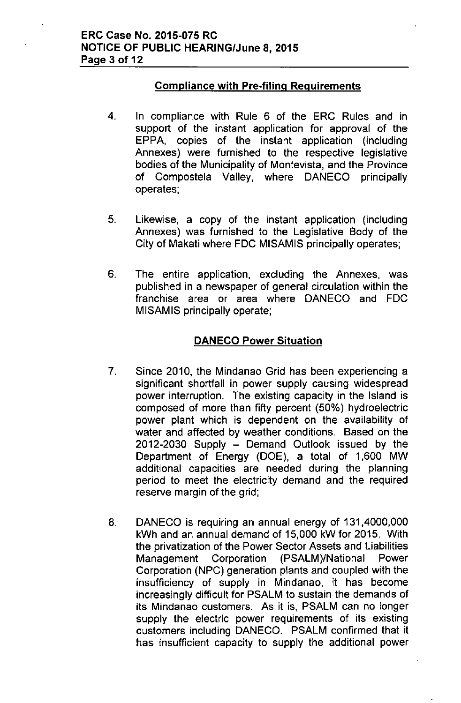# Compliance with Pre-filing Reguirements

- 4. In compliance with Rule 6 of the ERC Rules and in support of the instant application for approval of the EPPA, copies of the instant application (including Annexes) were furnished to the respective legislative bodies of the Municipality of Montevista, and the Province of Compostela Valley, where DANECO principally operates;
- 5. Likewise, a copy of the instant application (including Annexes) was furnished to the Legislative Body of the City of Makati where FDC MISAMIS principally operates;
- 6. The entire application, excluding the Annexes, was published in a newspaper of general circulation within the franchise area or area where DANECO and FDC MISAMIS principally operate;

## DANECO Power Situation

- 7. Since 2010, the Mindanao Grid has been experiencing a significant shortfall in power supply causing widespread power interruption. The existing capacity in the Island is composed of more than fifty percent (50%) hydroelectric power plant which is dependent on the availability of water and affected by weather conditions. Based on the  $2012-2030$  Supply  $-$  Demand Outlook issued by the Department of Energy (DOE), a total of 1,600 MW additional capacities are needed during the planning period to meet the electricity demand and the required reserve margin of the grid;
- 8. DANECO is requiring an annual energy of 131,4000,000 kWh and an annual demand of 15,000 kW for 2015. With the privatization of the Power Sector Assets and Liabilities Management Corporation (PSALM)/National Power Corporation (NPC) generation plants and coupled with the insufficiency of supply in Mindanao, it has become increasingly difficult for PSALM to sustain the demands of its Mindanao customers. As it is, PSALM can no longer supply the electric power requirements of its existing customers including DANECO. PSALM confirmed that it has insufficient capacity to supply the additional power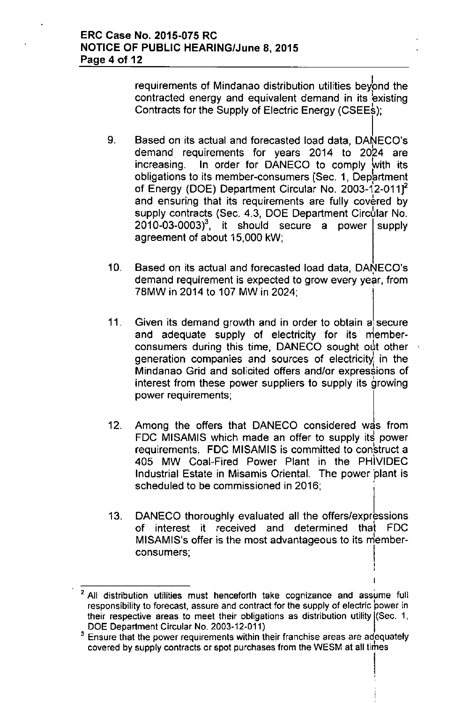requirements of Mindanao distribution utilities beyond the contracted energy and equivalent demand in its existing Contracts for the Supply of Electric Energy (CSEE\$);

- 9. Based on its actual and forecasted load data, DANECO's demand requirements for years 2014 to 2024 are increasing. In order for DANECO to comply with its obligations to its member-consumers [Sec. 1, Department of Energy (DOE) Department Circular No. 2003-12-011]<sup>2</sup> and ensuring that its requirements are fully covered by supply contracts (Sec. 4.3, DOE Department Circular No.  $2010-03-0003$ <sup>3</sup>, it should secure a power supply agreement of about 15,000 kW;
- 10. Based on its actual and forecasted load data, DANECO's demand requirement is expected to grow every year, from 78MW in 2014 to 107 MW in 2024:
- 11. Given its demand growth and in order to obtain a secure and adequate supply of electricity for its memberconsumers during this time, DANECO sought out other generation companies and sources of electricity in the Mindanao Grid and solicited offers and/or expressions of interest from these power suppliers to supply its growing power requirements;
- 12. Among the offers that DANECO considered was from FDC MISAMIS which made an offer to supply its power requirements. FDC MISAMIS is committed to construct a 405 MW Coal-Fired Power Plant in the PHIVIDEC Industrial Estate in Misamis Oriental. The power 'plant is scheduled to be commissioned in 2016:
- 13. DANECO thoroughly evaluated all the offers/expressions of interest it received and determined that FDC MISAMIS's offer is the most advantageous to its memberconsumers;

, ;

I

<sup>&</sup>lt;sup>2</sup> All distribution utilities must henceforth take cognizance and assume full responsibility to forecast, assure and contract for the supply of electric power in their respective areas to meet their obligations as distribution utility [(Sec. 1, DOE Department Circular No. 2003-12-011)

<sup>&</sup>lt;sup>3</sup> Ensure that the power requirements within their franchise areas are adequately covered by supply contracts or spot purchases from the WESM at all tirhes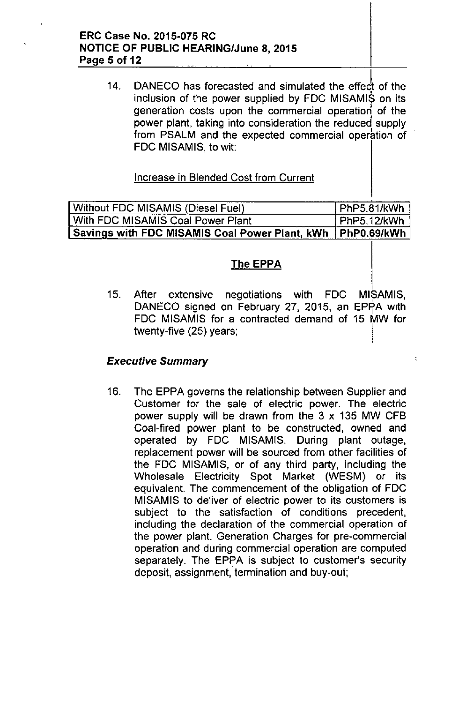### ERC Case No. 2015-075 RC NOTICE OF PUBLIC HEARING/June 8,2015 Page 5 of 12 \_. .

14. DANECO has forecasted and simulated the effect of the inclusion of the power supplied by FOC MISAMIS on its generation costs upon the commercial operation of the power plant, taking into consideration the reduced supply from PSALM and the expected commercial operation of FOC MISAMIS, to wit:

## Increase in Blended Cost from Current

Without FDC MISAMIS (Diesel Fuel) PhP5.81/kWh<br>With FDC MISAMIS Coal Power Plant PhP5.12/kWh With FDC MISAMIS Coal Power Plant Savings with FDC MISAMIS Coal Power Plant, kWh PhP0.69/kWh

# The EPPA

MISAMIS. 15. After extensive negotiations with FDC DANECO signed on February 27, 2015, an EPPA with FOC MISAMIS for a contracted demand of 15 MW for twenty-five (25) years;

 $\ddot{\cdot}$ 

## *Executive Summary*

16. The EPPA governs the relationship between Supplier and Customer for the sale of electric power. The electric power supply will be drawn from the  $3 \times 135$  MW CFB Coal-fired power plant to be constructed, owned and operated by FOC MISAMIS. During plant outage, replacement power will be sourced from other facilities of the FOC MISAMIS, or of any third party, including the Wholesale Electricity Spot Market (WESM) or its equivalent. The commencement of the obligation of FDC MISAMIS to deliver of electric power to its customers is subject to the satisfaction of conditions precedent, including the declaration of the commercial operation of the power plant. Generation Charges for pre-commercial operation and during commercial operation are computed separately. The EPPA is subject to customer's security deposit, assignment, termination and buy-out;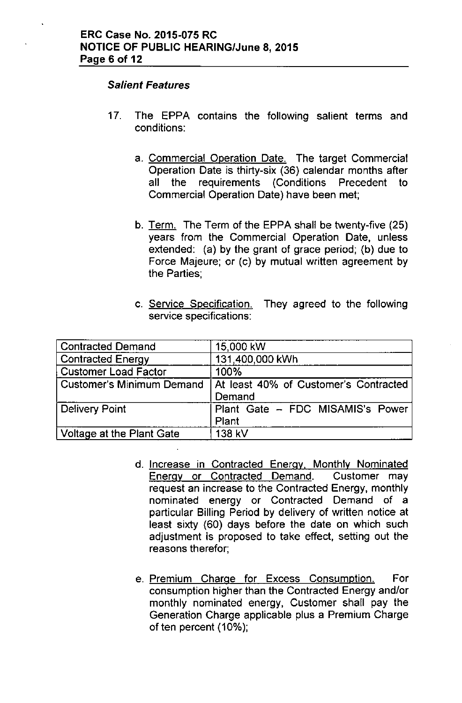#### *Salient Features*

- 17. The EPPA contains the following salient terms and conditions:
	- a. Commercial Operation Date. The target Commercial Operation Date is thirty-six (36) calendar months after all the requirements (Conditions Precedent to Commercial Operation Date) have been met;
	- b. Term. The Term of the EPPA shall be twenty-five (25) years from the Commercial Operation Date, unless extended: (a) by the grant of grace period; (b) due to Force Majeure; or (c) by mutual written agreement by the Parties;
	- c. Service Specification. They agreed to the following service specifications:

| <b>Contracted Demand</b>         | 15,000 kW                                       |
|----------------------------------|-------------------------------------------------|
| <b>Contracted Energy</b>         | 131,400,000 kWh                                 |
| <b>Customer Load Factor</b>      | 100%                                            |
| <b>Customer's Minimum Demand</b> | At least 40% of Customer's Contracted<br>Demand |
| Delivery Point                   | Plant Gate - FDC MISAMIS's Power<br>Plant       |
| Voltage at the Plant Gate        | 138 kV                                          |

- d. Increase in Contracted Energy, Monthly Nominated Energy or Contracted Demand. Customer may request an increase to the Contracted Energy, monthly nominated energy or Contracted Demand of a particular Billing Period by delivery of written notice at least sixty (60) days before the date on which such adjustment is proposed to take effect, setting out the reasons therefor;
- e. Premium Charge for Excess Consumption. For consumption higher than the Contracted Energy and/or monthly nominated energy, Customer shall pay the Generation Charge applicable plus a Premium Charge of ten percent (10%);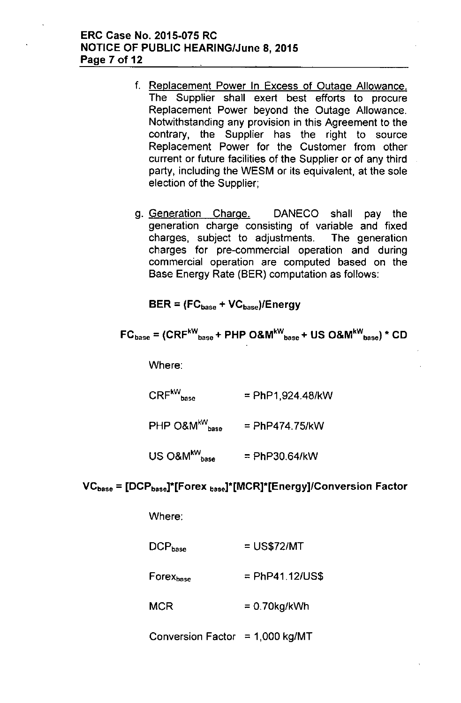### ERC Case No. 2015-075 RC NOTICE OF PUBLIC HEARING/June 8, 2015 Page 7 of 12

- f. Replacement Power In Excess of Outage Allowance. The Supplier shall exert best efforts to procure Replacement Power beyond the Outage Allowance. Notwithstanding any provision in this Agreement to the contrary, the Supplier has the right to source Replacement Power for the Customer from other current or future facilities of the Supplier or of any third party, including the WESM or its equivalent, at the sole election of the Supplier;
- g. Generation Charge. DANECO shall pay the generation charge consisting of variable and fixed charges, subject to adjustments. The generation charges for pre-commercial operation and during commercial operation are computed based on the Base Energy Rate (BER) computation as follows:

 $BER = (FC_{base} + VC_{base})/Energy$ 

$$
FC_{\text{base}} = (CRF^{\text{kW}}_{\text{base}} + PHP\ O\&M^{\text{kW}}_{\text{base}} + US\ O\&M^{\text{kW}}_{\text{base}}) * CD
$$

Where:

 $\mathsf{CRF}^{\mathsf{kW}}_{\mathsf{base}}$  $=$  PhP1,924.48/kW

 $PHP$  O&M<sup>kW</sup> base = PhP474.75/kW

 $US \text{ O}\&M^{kW}$ <sub>base</sub> = PhP30.64/kW

## $VC<sub>base</sub> = [DCP<sub>base</sub>]*(Forex<sub>base</sub>]*(MCR)*(Energy)/Conversion Factor$

Where:

| $\mathsf{DCP}_{\mathsf{base}}$ | $=$ US\$72/MT     |
|--------------------------------|-------------------|
| Forex <sub>base</sub>          | $=$ PhP41.12/US\$ |
| MCR                            | $= 0.70$ kg/kWh   |
|                                |                   |

Conversion Factor =  $1,000$  kg/MT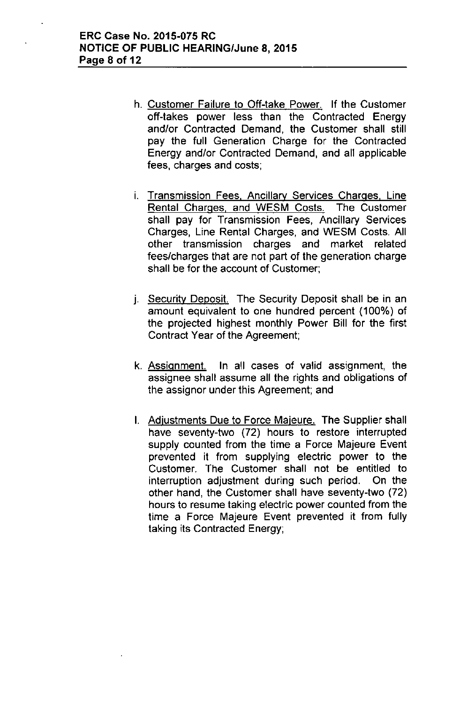- h. Customer Failure to Off-take Power. If the Customer off-takes power less than the Contracted Energy and/or Contracted Demand, the Customer shall still pay the full Generation Charge for the Contracted Energy and/or Contracted Demand, and all applicable fees, charges and costs;
- i. Transmission Fees, Ancillary Services Charges, Line Rental Charges, and WESM Costs. The Customer shall pay for Transmission Fees, Ancillary Services Charges, Line Rental Charges, and WESM Costs. All other transmission charges and market related fees/charges that are not part of the generation charge shall be for the account of Customer;
- j. Security Deposit. The Security Deposit shall be in an amount equivalent to one hundred percent (100%) of the projected highest monthly Power Bill for the first Contract Year of the Agreement;
- k. Assignment. In all cases of valid assignment, the assignee shall assume all the rights and obligations of the assignor under this Agreement; and
- I. Adjustments Due to Force Majeure. The Supplier shall have seventy-two (72) hours to restore interrupted supply counted from the time a Force Majeure Event prevented it from supplying electric power to the Customer. The Customer shall not be entitled to interruption adjustment during such period. On the other hand, the Customer shall have seventy-two (72) hours to resume taking electric power counted from the time a Force Majeure Event prevented it from fully taking its Contracted Energy;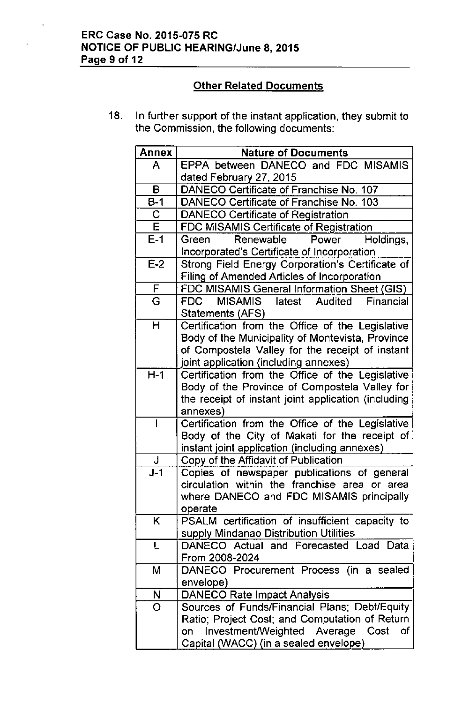# ERC Case No. 2015-075 RC NOTICE OF PUBLIC HEARING/June 8,2015 Page 9 of 12

 $\ddot{\phantom{1}}$ 

# Other Related Documents

18. In further support of the instant application, they submit to the Commission, the following documents:

| <b>Annex</b>            | <b>Nature of Documents</b>                                      |
|-------------------------|-----------------------------------------------------------------|
| A                       | EPPA between DANECO and FDC MISAMIS                             |
|                         | dated February 27, 2015                                         |
| в                       | DANECO Certificate of Franchise No. 107                         |
| $B-1$                   | DANECO Certificate of Franchise No. 103                         |
| $\overline{C}$          | <b>DANECO Certificate of Registration</b>                       |
| $\overline{\mathsf{E}}$ | FDC MISAMIS Certificate of Registration                         |
| $E-1$                   | Renewable<br>Power<br>Holdings,<br>Green                        |
|                         | Incorporated's Certificate of Incorporation                     |
| $E-2$                   | Strong Field Energy Corporation's Certificate of                |
|                         | <b>Filing of Amended Articles of Incorporation</b>              |
| $\overline{F}$          | FDC MISAMIS General Information Sheet (GIS)                     |
| G                       | MISAMIS latest Audited<br>Financial<br>FDC                      |
|                         | Statements (AFS)                                                |
| H                       | Certification from the Office of the Legislative                |
|                         | Body of the Municipality of Montevista, Province                |
|                         | of Compostela Valley for the receipt of instant                 |
|                         | joint application (including annexes)                           |
| $H-1$                   | Certification from the Office of the Legislative                |
|                         | Body of the Province of Compostela Valley for                   |
|                         | the receipt of instant joint application (including<br>annexes) |
| I                       | Certification from the Office of the Legislative                |
|                         | Body of the City of Makati for the receipt of                   |
|                         | instant joint application (including annexes)                   |
| J                       | Copy of the Affidavit of Publication                            |
| $J-1$                   | Copies of newspaper publications of general                     |
|                         | circulation within the franchise area or area                   |
|                         | where DANECO and FDC MISAMIS principally                        |
|                         | operate                                                         |
| K.                      | PSALM certification of insufficient capacity to                 |
|                         | supply Mindanao Distribution Utilities                          |
| L                       | DANECO Actual and Forecasted Load Data                          |
|                         | From 2008-2024                                                  |
| М                       | DANECO Procurement Process (in a sealed                         |
|                         | envelope)                                                       |
| N                       | <b>DANECO Rate Impact Analysis</b>                              |
| O                       | Sources of Funds/Financial Plans; Debt/Equity                   |
|                         | Ratio; Project Cost; and Computation of Return                  |
|                         | Investment/Weighted Average Cost<br>of<br>on                    |
|                         | Capital (WACC) (in a sealed envelope)                           |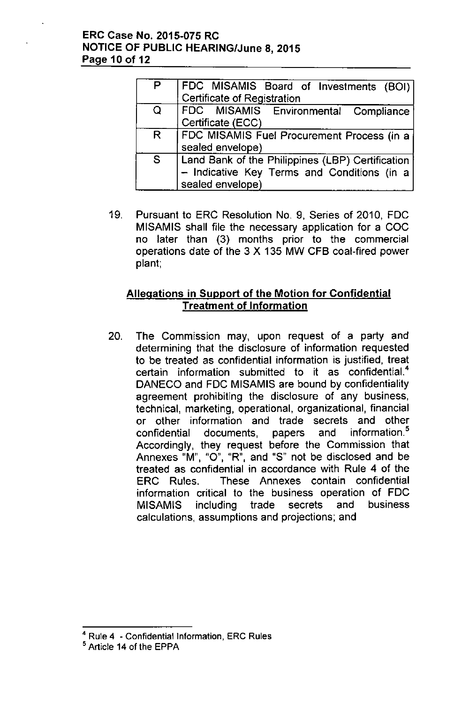## ERC Case No. 2015-075 RC NOTICE OF PUBLIC HEARING/June 8, 2015 Page 10 of 12

| P | FDC MISAMIS Board of Investments (BOI)<br>Certificate of Registration |
|---|-----------------------------------------------------------------------|
|   |                                                                       |
| Q | FDC MISAMIS Environmental Compliance                                  |
|   | Certificate (ECC)                                                     |
| R | FDC MISAMIS Fuel Procurement Process (in a                            |
|   | sealed envelope)                                                      |
| S | Land Bank of the Philippines (LBP) Certification                      |
|   | - Indicative Key Terms and Conditions (in a                           |
|   | sealed envelope)                                                      |

19. Pursuant to ERC Resolution NO.9, Series of 2010, FOC MISAMIS shall file the necessary application for a COC no later than (3) months prior to the commercial operations date of the 3 X 135 MW CFB coal-fired power plant;

# Allegations in Support of the Motion for Confidential Treatment of Information

20. The Commission may, upon request of a party and determining that the disclosure of information requested to be treated as confidential information is justified, treat certain information submitted to it as confidential.<sup>4</sup> OANECO and FOC MISAMIS are bound by confidentiality agreement prohibiting the disclosure of any business, technical, marketing, operational. organizational, financial or other information and trade secrets and other confidential documents, papers and information.<sup>5</sup> Accordingly, they request before the Commission that Annexes "M", "0", "R", and "S" not be disclosed and be treated as confidential in accordance with Rule 4 of the ERC Rules. These Annexes contain confidential information critical to the business operation of FOC MISAMIS including trade secrets and business calculations, assumptions and projections; and

<sup>4</sup> Rule 4 - Confidential Information, ERC Rules

<sup>&</sup>lt;sup>5</sup> Article 14 of the EPPA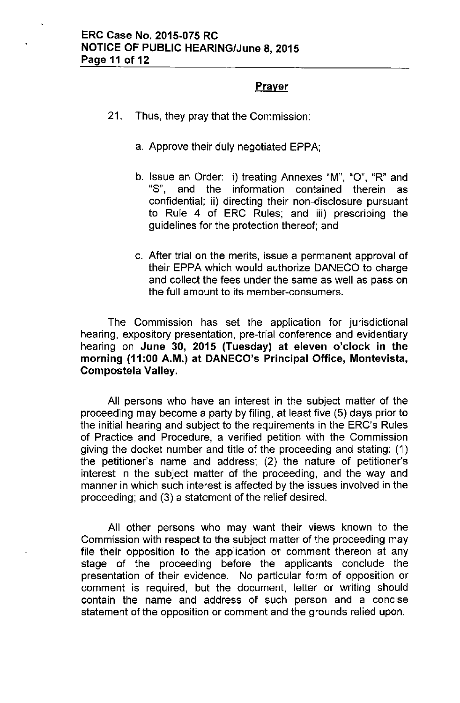# Prayer

- 21. Thus, they pray that the Commission:
	- a. Approve their duly negotiated EPPA;
	- b. Issue an Order: i) treating Annexes "M", "0", "R" and "8", and the information contained therein as confidential; ii) directing their non-disclosure pursuant to Rule 4 of ERC Rules; and iii) prescribing the guidelines for the protection thereof; and
	- c. After trial on the merits, issue a permanent approval of their EPPA which would authorize DANECO to charge and collect the fees under the same as well as pass on the full amount to its member-consumers.

The Commission has set the application for jurisdictional hearing, expository presentation, pre-trial conference and evidentiary hearing on June 30, 2015 (Tuesday) at eleven o'clock in the morning (11 :00 A.M.) at DANECO's Principal Office, Montevista, Compostela Valley.

All persons who have an interest in the subject matter of the proceeding may become a party by filing, at least five (5) days prior to the initial hearing and subject to the requirements in the ERC's Rules of Practice and Procedure, a verified petition with the Commission giving the docket number and title of the proceeding and stating: (1) the petitioner's name and address; (2) the nature of petitioner's interest in the subject matter of the proceeding, and the way and manner in which such interest is affected by the issues involved in the proceeding; and (3) a statement of the relief desired.

All other persons who may want their views known to the Commission with respect to the subject matter of the proceeding may file their opposition to the application or comment thereon at any stage of the proceeding before the applicants conclude the presentation of their evidence. No particular form of opposition or comment is required, but the document, letter or writing should contain the name and address of such person and a concise statement of the opposition or comment and the grounds relied upon.